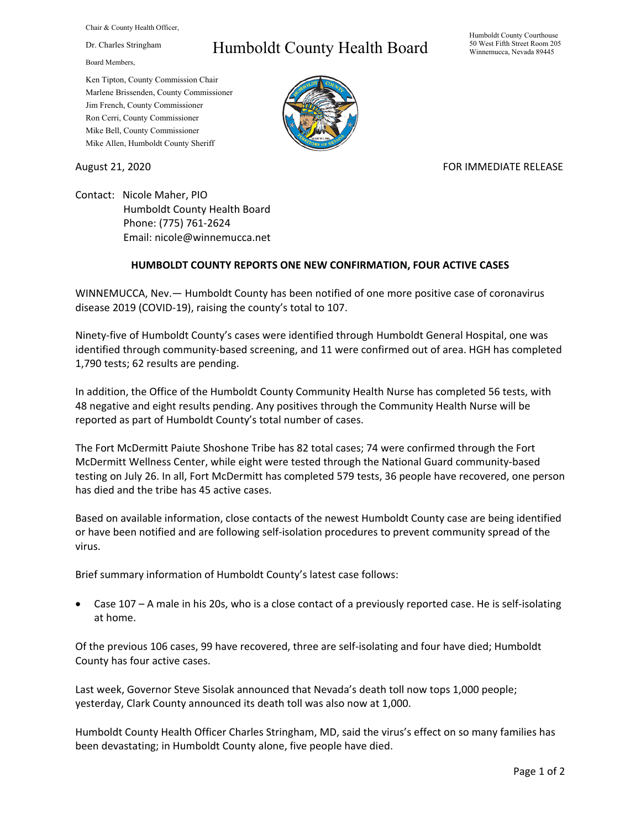Chair & County Health Officer,

Dr. Charles Stringham

Board Members,

## Humboldt County Health Board

Humboldt County Courthouse 50 West Fifth Street Room 205 Winnemucca, Nevada 89445

Ken Tipton, County Commission Chair Marlene Brissenden, County Commissioner Jim French, County Commissioner Ron Cerri, County Commissioner Mike Bell, County Commissioner Mike Allen, Humboldt County Sheriff

August 21, 2020 FOR IMMEDIATE RELEASE

Contact: Nicole Maher, PIO Humboldt County Health Board Phone: (775) 761‐2624 Email: nicole@winnemucca.net

## **HUMBOLDT COUNTY REPORTS ONE NEW CONFIRMATION, FOUR ACTIVE CASES**

WINNEMUCCA, Nev.— Humboldt County has been notified of one more positive case of coronavirus disease 2019 (COVID‐19), raising the county's total to 107.

Ninety‐five of Humboldt County's cases were identified through Humboldt General Hospital, one was identified through community-based screening, and 11 were confirmed out of area. HGH has completed 1,790 tests; 62 results are pending.

In addition, the Office of the Humboldt County Community Health Nurse has completed 56 tests, with 48 negative and eight results pending. Any positives through the Community Health Nurse will be reported as part of Humboldt County's total number of cases.

The Fort McDermitt Paiute Shoshone Tribe has 82 total cases; 74 were confirmed through the Fort McDermitt Wellness Center, while eight were tested through the National Guard community‐based testing on July 26. In all, Fort McDermitt has completed 579 tests, 36 people have recovered, one person has died and the tribe has 45 active cases.

Based on available information, close contacts of the newest Humboldt County case are being identified or have been notified and are following self‐isolation procedures to prevent community spread of the virus.

Brief summary information of Humboldt County's latest case follows:

 Case 107 – A male in his 20s, who is a close contact of a previously reported case. He is self‐isolating at home.

Of the previous 106 cases, 99 have recovered, three are self‐isolating and four have died; Humboldt County has four active cases.

Last week, Governor Steve Sisolak announced that Nevada's death toll now tops 1,000 people; yesterday, Clark County announced its death toll was also now at 1,000.

Humboldt County Health Officer Charles Stringham, MD, said the virus's effect on so many families has been devastating; in Humboldt County alone, five people have died.